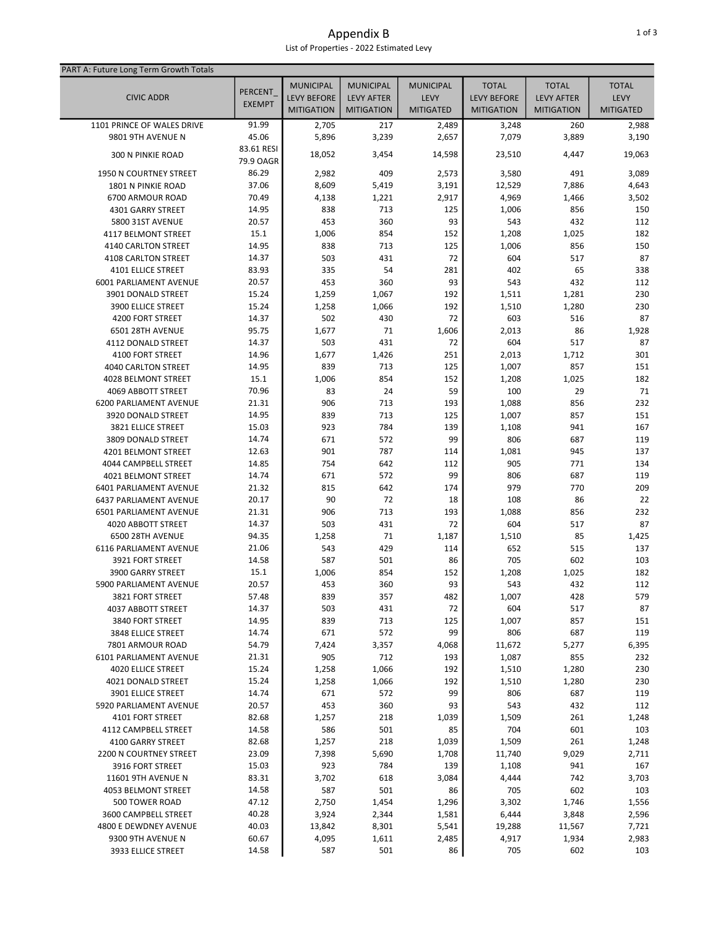## Appendix B List of Properties - 2022 Estimated Levy

| PART A: Future Long Term Growth Totals |                |                    |                   |                  |                    |                   |                  |
|----------------------------------------|----------------|--------------------|-------------------|------------------|--------------------|-------------------|------------------|
|                                        |                | <b>MUNICIPAL</b>   | <b>MUNICIPAL</b>  | <b>MUNICIPAL</b> | <b>TOTAL</b>       | <b>TOTAL</b>      | <b>TOTAL</b>     |
| <b>CIVIC ADDR</b>                      | <b>PERCENT</b> | <b>LEVY BEFORE</b> | <b>LEVY AFTER</b> | <b>LEVY</b>      | <b>LEVY BEFORE</b> | <b>LEVY AFTER</b> | LEVY             |
|                                        | <b>EXEMPT</b>  | <b>MITIGATION</b>  | <b>MITIGATION</b> | <b>MITIGATED</b> | <b>MITIGATION</b>  | <b>MITIGATION</b> | <b>MITIGATED</b> |
| 1101 PRINCE OF WALES DRIVE             | 91.99          | 2,705              | 217               | 2,489            | 3,248              | 260               | 2,988            |
| 9801 9TH AVENUE N                      | 45.06          | 5,896              | 3,239             | 2,657            | 7,079              | 3,889             | 3,190            |
|                                        | 83.61 RESI     |                    |                   |                  |                    |                   |                  |
| <b>300 N PINKIE ROAD</b>               | 79.9 OAGR      | 18,052             | 3,454             | 14,598           | 23,510             | 4,447             | 19,063           |
| 1950 N COURTNEY STREET                 | 86.29          | 2,982              | 409               | 2,573            | 3,580              | 491               | 3,089            |
| 1801 N PINKIE ROAD                     | 37.06          | 8,609              | 5,419             | 3,191            | 12,529             | 7,886             | 4,643            |
| 6700 ARMOUR ROAD                       | 70.49          | 4,138              | 1,221             | 2,917            | 4,969              | 1,466             | 3,502            |
| 4301 GARRY STREET                      | 14.95          | 838                | 713               | 125              | 1,006              | 856               | 150              |
| <b>5800 31ST AVENUE</b>                | 20.57          | 453                | 360               | 93               | 543                | 432               | 112              |
| <b>4117 BELMONT STREET</b>             | 15.1           | 1,006              | 854               | 152              | 1,208              | 1,025             | 182              |
| 4140 CARLTON STREET                    | 14.95          | 838                | 713               | 125              | 1,006              | 856               | 150              |
| 4108 CARLTON STREET                    | 14.37          | 503                | 431               | 72               | 604                | 517               | 87               |
| <b>4101 ELLICE STREET</b>              | 83.93          | 335                | 54                | 281              | 402                | 65                | 338              |
| 6001 PARLIAMENT AVENUE                 | 20.57          | 453                | 360               | 93               | 543                | 432               | 112              |
| 3901 DONALD STREET                     | 15.24          | 1,259              | 1,067             | 192              | 1,511              | 1,281             | 230              |
| 3900 ELLICE STREET                     | 15.24          | 1,258              | 1,066             | 192              | 1,510              | 1,280             | 230              |
| 4200 FORT STREET                       | 14.37          | 502                | 430               | 72               | 603                | 516               | 87               |
| 6501 28TH AVENUE                       | 95.75          | 1,677              | 71                | 1,606            | 2,013              | 86                | 1,928            |
| 4112 DONALD STREET                     | 14.37          | 503                | 431               | 72               | 604                | 517               | 87               |
| 4100 FORT STREET                       | 14.96          | 1,677              | 1,426             | 251              | 2,013              | 1,712             | 301              |
| 4040 CARLTON STREET                    | 14.95          | 839                | 713               | 125              | 1,007              | 857               | 151              |
| 4028 BELMONT STREET                    | 15.1           | 1,006              | 854               | 152              | 1,208              | 1,025             | 182              |
| 4069 ABBOTT STREET                     | 70.96          | 83                 | 24                | 59               | 100                | 29                | 71               |
| <b>6200 PARLIAMENT AVENUE</b>          | 21.31          | 906                | 713               | 193              | 1,088              | 856               | 232              |
| 3920 DONALD STREET                     | 14.95          | 839                | 713               | 125              | 1,007              | 857               | 151              |
| 3821 ELLICE STREET                     | 15.03          | 923                | 784               | 139              | 1,108              | 941               | 167              |
| 3809 DONALD STREET                     | 14.74          | 671                | 572               | 99               | 806                | 687               | 119              |
| 4201 BELMONT STREET                    | 12.63          | 901                | 787               | 114              | 1,081              | 945               | 137              |
| 4044 CAMPBELL STREET                   | 14.85          | 754                | 642               | 112              | 905                | 771               | 134              |
| 4021 BELMONT STREET                    | 14.74          | 671                | 572               | 99               | 806                | 687               | 119              |
| 6401 PARLIAMENT AVENUE                 | 21.32          | 815                | 642               | 174              | 979                | 770               | 209              |
| <b>6437 PARLIAMENT AVENUE</b>          | 20.17          | 90                 | 72                | 18               | 108                | 86                | 22               |
| <b>6501 PARLIAMENT AVENUE</b>          | 21.31          | 906                | 713               | 193              | 1,088              | 856               | 232              |
| 4020 ABBOTT STREET                     | 14.37          | 503                | 431               | 72               | 604                | 517               | 87               |
| 6500 28TH AVENUE                       | 94.35          | 1,258              | 71                | 1,187            | 1,510              | 85                | 1,425            |
| 6116 PARLIAMENT AVENUE                 | 21.06          | 543                | 429               | 114              | 652                | 515               | 137              |
| 3921 FORT STREET                       | 14.58          | 587                | 501               | 86               | 705                | 602               | 103              |
| 3900 GARRY STREET                      | 15.1           | 1,006              | 854               | 152              | 1,208              | 1,025             | 182              |
| 5900 PARLIAMENT AVENUE                 | 20.57          | 453                | 360               | 93               | 543                | 432               | 112              |
| 3821 FORT STREET                       | 57.48          | 839                | 357               | 482              | 1,007              | 428               | 579              |
| 4037 ABBOTT STREET                     | 14.37          | 503                | 431               | 72               | 604                | 517               | 87               |
| 3840 FORT STREET                       | 14.95          | 839                | 713               | 125              | 1,007              | 857               | 151              |
| 3848 ELLICE STREET                     | 14.74          | 671                | 572               | 99               | 806                | 687               | 119              |
| 7801 ARMOUR ROAD                       | 54.79          | 7,424              | 3,357             | 4,068            | 11,672             | 5,277             | 6,395            |
| 6101 PARLIAMENT AVENUE                 | 21.31          | 905                | 712               | 193              | 1,087              | 855               | 232              |
| <b>4020 ELLICE STREET</b>              | 15.24          | 1,258              | 1,066             | 192              | 1,510              | 1,280             | 230              |
| 4021 DONALD STREET                     | 15.24          | 1,258              | 1,066             | 192              | 1,510              | 1,280             | 230              |
| 3901 ELLICE STREET                     | 14.74          | 671                | 572               | 99               | 806                | 687               | 119              |
| 5920 PARLIAMENT AVENUE                 | 20.57          | 453                | 360               | 93               | 543                | 432               | 112              |
| 4101 FORT STREET                       | 82.68          | 1,257              | 218               | 1,039            | 1,509              | 261               | 1,248            |
| 4112 CAMPBELL STREET                   | 14.58          | 586                | 501               | 85               | 704                | 601               | 103              |
| 4100 GARRY STREET                      | 82.68          | 1,257              | 218               | 1,039            | 1,509              | 261               | 1,248            |
| 2200 N COURTNEY STREET                 | 23.09          | 7,398              | 5,690             | 1,708            | 11,740             | 9,029             | 2,711            |
| 3916 FORT STREET                       | 15.03          | 923                | 784               | 139              | 1,108              | 941               | 167              |
| 11601 9TH AVENUE N                     | 83.31          | 3,702              | 618               | 3,084            | 4,444              | 742               | 3,703            |
| <b>4053 BELMONT STREET</b>             | 14.58          | 587                | 501               | 86               | 705                | 602               | 103              |
| 500 TOWER ROAD                         | 47.12          | 2,750              | 1,454             | 1,296            | 3,302              | 1,746             | 1,556            |
| 3600 CAMPBELL STREET                   | 40.28          | 3,924              | 2,344             | 1,581            | 6,444              | 3,848             | 2,596            |
| 4800 E DEWDNEY AVENUE                  | 40.03          | 13,842             | 8,301             | 5,541            | 19,288             | 11,567            | 7,721            |
| 9300 9TH AVENUE N                      | 60.67          | 4,095              | 1,611             | 2,485            | 4,917              | 1,934             | 2,983            |
| 3933 ELLICE STREET                     | 14.58          | 587                | 501               | 86               | 705                | 602               | 103              |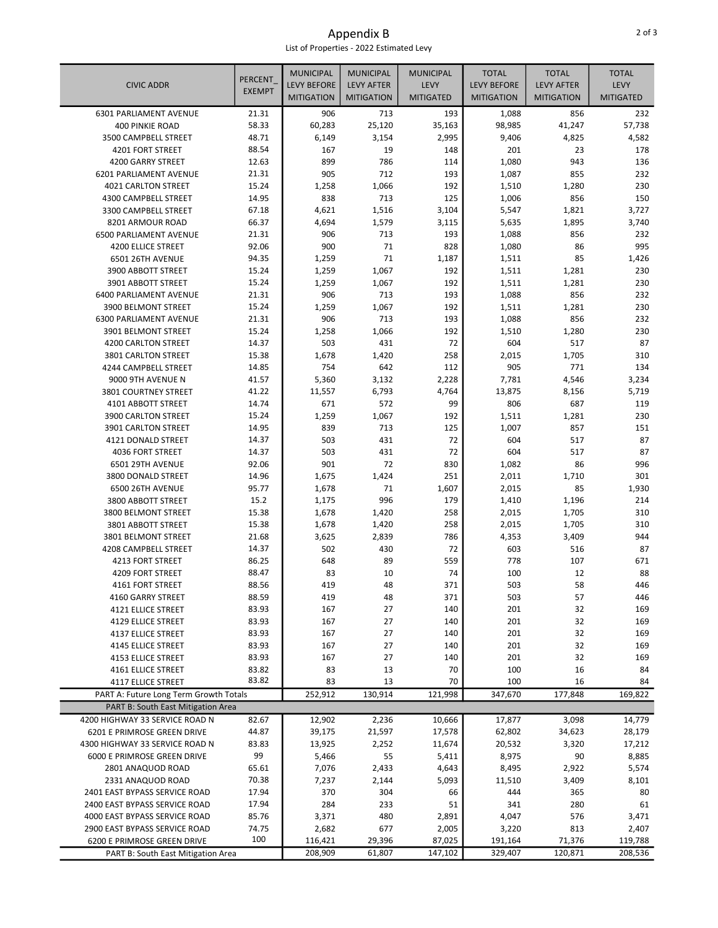Appendix B List of Properties - 2022 Estimated Levy

| <b>CIVIC ADDR</b>                        | <b>PERCENT</b> | <b>MUNICIPAL</b><br><b>LEVY BEFORE</b> | <b>MUNICIPAL</b><br><b>LEVY AFTER</b> | <b>MUNICIPAL</b><br>LEVY | <b>TOTAL</b><br><b>LEVY BEFORE</b> | <b>TOTAL</b><br><b>LEVY AFTER</b> | <b>TOTAL</b><br><b>LEVY</b> |
|------------------------------------------|----------------|----------------------------------------|---------------------------------------|--------------------------|------------------------------------|-----------------------------------|-----------------------------|
|                                          | <b>EXEMPT</b>  | <b>MITIGATION</b>                      | <b>MITIGATION</b>                     | <b>MITIGATED</b>         | <b>MITIGATION</b>                  | <b>MITIGATION</b>                 | <b>MITIGATED</b>            |
| 6301 PARLIAMENT AVENUE                   | 21.31          | 906                                    | 713                                   | 193                      | 1,088                              | 856                               | 232                         |
| 400 PINKIE ROAD                          | 58.33          | 60,283                                 | 25,120                                | 35,163                   | 98,985                             | 41,247                            | 57,738                      |
| 3500 CAMPBELL STREET                     | 48.71          | 6,149                                  | 3,154                                 | 2,995                    | 9,406                              | 4,825                             | 4,582                       |
| 4201 FORT STREET                         | 88.54          | 167                                    | 19                                    | 148                      | 201                                | 23                                | 178                         |
| 4200 GARRY STREET                        | 12.63          | 899                                    | 786                                   | 114                      | 1,080                              | 943                               | 136                         |
| 6201 PARLIAMENT AVENUE                   | 21.31          | 905                                    | 712                                   | 193                      | 1,087                              | 855                               | 232                         |
| 4021 CARLTON STREET                      | 15.24          | 1,258                                  | 1,066                                 | 192                      | 1,510                              | 1,280                             | 230                         |
| 4300 CAMPBELL STREET                     | 14.95          | 838                                    | 713                                   | 125                      | 1,006                              | 856                               | 150                         |
| 3300 CAMPBELL STREET<br>8201 ARMOUR ROAD | 67.18<br>66.37 | 4,621                                  | 1,516                                 | 3,104                    | 5,547                              | 1,821                             | 3,727                       |
| <b>6500 PARLIAMENT AVENUE</b>            | 21.31          | 4,694<br>906                           | 1,579<br>713                          | 3,115<br>193             | 5,635<br>1,088                     | 1,895<br>856                      | 3,740<br>232                |
| <b>4200 ELLICE STREET</b>                | 92.06          | 900                                    | 71                                    | 828                      | 1,080                              | 86                                | 995                         |
| 6501 26TH AVENUE                         | 94.35          | 1,259                                  | 71                                    | 1,187                    | 1,511                              | 85                                | 1,426                       |
| 3900 ABBOTT STREET                       | 15.24          | 1,259                                  | 1,067                                 | 192                      | 1,511                              | 1,281                             | 230                         |
| 3901 ABBOTT STREET                       | 15.24          | 1,259                                  | 1,067                                 | 192                      | 1,511                              | 1,281                             | 230                         |
| 6400 PARLIAMENT AVENUE                   | 21.31          | 906                                    | 713                                   | 193                      | 1,088                              | 856                               | 232                         |
| 3900 BELMONT STREET                      | 15.24          | 1,259                                  | 1,067                                 | 192                      | 1,511                              | 1,281                             | 230                         |
| <b>6300 PARLIAMENT AVENUE</b>            | 21.31          | 906                                    | 713                                   | 193                      | 1,088                              | 856                               | 232                         |
| 3901 BELMONT STREET                      | 15.24          | 1,258                                  | 1,066                                 | 192                      | 1,510                              | 1,280                             | 230                         |
| 4200 CARLTON STREET                      | 14.37          | 503                                    | 431                                   | 72                       | 604                                | 517                               | 87                          |
| 3801 CARLTON STREET                      | 15.38          | 1,678                                  | 1,420                                 | 258                      | 2,015                              | 1,705                             | 310                         |
| 4244 CAMPBELL STREET                     | 14.85          | 754                                    | 642                                   | 112                      | 905                                | 771                               | 134                         |
| 9000 9TH AVENUE N                        | 41.57          | 5,360                                  | 3,132                                 | 2,228                    | 7,781                              | 4,546                             | 3,234                       |
| 3801 COURTNEY STREET                     | 41.22          | 11,557                                 | 6,793                                 | 4,764                    | 13,875                             | 8,156                             | 5,719                       |
| 4101 ABBOTT STREET                       | 14.74          | 671                                    | 572                                   | 99                       | 806                                | 687                               | 119                         |
| 3900 CARLTON STREET                      | 15.24          | 1,259                                  | 1,067                                 | 192                      | 1,511                              | 1,281                             | 230                         |
| 3901 CARLTON STREET                      | 14.95          | 839                                    | 713                                   | 125                      | 1,007                              | 857                               | 151                         |
| 4121 DONALD STREET                       | 14.37          | 503                                    | 431                                   | 72                       | 604                                | 517                               | 87                          |
| 4036 FORT STREET                         | 14.37          | 503                                    | 431                                   | 72                       | 604                                | 517                               | 87                          |
| 6501 29TH AVENUE                         | 92.06          | 901                                    | 72                                    | 830                      | 1,082                              | 86                                | 996                         |
| 3800 DONALD STREET                       | 14.96          | 1,675                                  | 1,424                                 | 251                      | 2,011                              | 1,710                             | 301                         |
| 6500 26TH AVENUE                         | 95.77          | 1,678                                  | 71                                    | 1,607                    | 2,015                              | 85                                | 1,930                       |
| 3800 ABBOTT STREET                       | 15.2           | 1,175                                  | 996                                   | 179                      | 1,410                              | 1,196                             | 214                         |
| 3800 BELMONT STREET                      | 15.38          | 1,678                                  | 1,420                                 | 258                      | 2,015                              | 1,705                             | 310                         |
| 3801 ABBOTT STREET                       | 15.38          | 1,678                                  | 1,420                                 | 258                      | 2,015                              | 1,705                             | 310                         |
| 3801 BELMONT STREET                      | 21.68          | 3,625                                  | 2,839                                 | 786                      | 4,353                              | 3,409                             | 944                         |
| 4208 CAMPBELL STREET                     | 14.37          | 502                                    | 430                                   | 72                       | 603                                | 516                               | 87                          |
| 4213 FORT STREET                         | 86.25          | 648                                    | 89                                    | 559                      | 778                                | 107                               | 671                         |
| 4209 FORT STREET                         | 88.47          | 83                                     | 10                                    | 74                       | 100                                | 12                                | 88                          |
| 4161 FORT STREET<br>4160 GARRY STREET    | 88.56          | 419                                    | 48                                    | 371<br>371               | 503                                | 58                                | 446                         |
| 4121 ELLICE STREET                       | 88.59<br>83.93 | 419<br>167                             | 48<br>27                              | 140                      | 503<br>201                         | 57<br>32                          | 446<br>169                  |
| 4129 ELLICE STREET                       | 83.93          | 167                                    | 27                                    | 140                      | 201                                | 32                                | 169                         |
| 4137 ELLICE STREET                       | 83.93          | 167                                    | 27                                    | 140                      | 201                                | 32                                | 169                         |
| 4145 ELLICE STREET                       | 83.93          | 167                                    | 27                                    | 140                      | 201                                | 32                                | 169                         |
| 4153 ELLICE STREET                       | 83.93          | 167                                    | 27                                    | 140                      | 201                                | 32                                | 169                         |
| 4161 ELLICE STREET                       | 83.82          | 83                                     | 13                                    | 70                       | 100                                | 16                                | 84                          |
| 4117 ELLICE STREET                       | 83.82          | 83                                     | 13                                    | 70                       | 100                                | 16                                | 84                          |
| PART A: Future Long Term Growth Totals   |                | 252,912                                | 130,914                               | 121,998                  | 347,670                            | 177,848                           | 169,822                     |
| PART B: South East Mitigation Area       |                |                                        |                                       |                          |                                    |                                   |                             |
| 4200 HIGHWAY 33 SERVICE ROAD N           | 82.67          | 12,902                                 | 2,236                                 | 10,666                   | 17,877                             | 3,098                             | 14,779                      |
| 6201 E PRIMROSE GREEN DRIVE              | 44.87          | 39,175                                 | 21,597                                | 17,578                   | 62,802                             | 34,623                            | 28,179                      |
| 4300 HIGHWAY 33 SERVICE ROAD N           | 83.83          | 13,925                                 | 2,252                                 | 11,674                   | 20,532                             | 3,320                             | 17,212                      |
| 6000 E PRIMROSE GREEN DRIVE              | 99             | 5,466                                  | 55                                    | 5,411                    | 8,975                              | 90                                | 8,885                       |
| 2801 ANAQUOD ROAD                        | 65.61          | 7,076                                  | 2,433                                 | 4,643                    | 8,495                              | 2,922                             | 5,574                       |
| 2331 ANAQUOD ROAD                        | 70.38          | 7,237                                  | 2,144                                 | 5,093                    | 11,510                             | 3,409                             | 8,101                       |
| 2401 EAST BYPASS SERVICE ROAD            | 17.94          | 370                                    | 304                                   | 66                       | 444                                | 365                               | 80                          |
| 2400 EAST BYPASS SERVICE ROAD            | 17.94          | 284                                    | 233                                   | 51                       | 341                                | 280                               | 61                          |
| 4000 EAST BYPASS SERVICE ROAD            | 85.76          | 3,371                                  | 480                                   | 2,891                    | 4,047                              | 576                               | 3,471                       |
| 2900 EAST BYPASS SERVICE ROAD            | 74.75          | 2,682                                  | 677                                   | 2,005                    | 3,220                              | 813                               | 2,407                       |
| 6200 E PRIMROSE GREEN DRIVE              | 100            | 116,421                                | 29,396                                | 87,025                   | 191,164                            | 71,376                            | 119,788                     |
| PART B: South East Mitigation Area       |                | 208,909                                | 61,807                                | 147,102                  | 329,407                            | 120,871                           | 208,536                     |